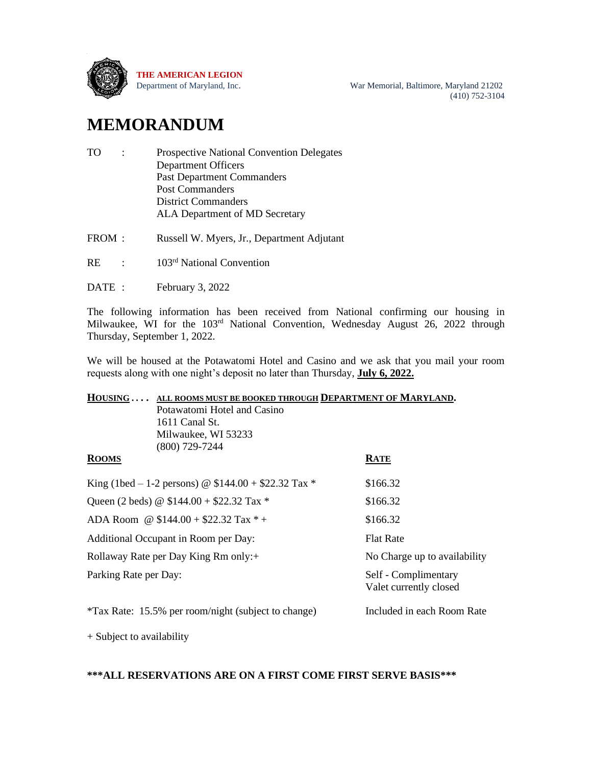

Department of Maryland, Inc. War Memorial, Baltimore, Maryland 21202 (410) 752-3104

# **MEMORANDUM**

| TO. | $\mathbb{R}^n$ | <b>Prospective National Convention Delegates</b> |
|-----|----------------|--------------------------------------------------|
|     |                | <b>Department Officers</b>                       |
|     |                | <b>Past Department Commanders</b>                |
|     |                | <b>Post Commanders</b>                           |
|     |                | <b>District Commanders</b>                       |
|     |                | ALA Department of MD Secretary                   |
|     |                |                                                  |

FROM : Russell W. Myers, Jr., Department Adjutant

 $RE$  :  $103<sup>rd</sup>$  National Convention

DATE : February 3, 2022

The following information has been received from National confirming our housing in Milwaukee, WI for the 103<sup>rd</sup> National Convention, Wednesday August 26, 2022 through Thursday, September 1, 2022.

We will be housed at the Potawatomi Hotel and Casino and we ask that you mail your room requests along with one night's deposit no later than Thursday, **July 6, 2022.**

|                       | HOUSING  ALL ROOMS MUST BE BOOKED THROUGH DEPARTMENT OF MARYLAND. |                                                |  |  |  |
|-----------------------|-------------------------------------------------------------------|------------------------------------------------|--|--|--|
|                       | Potawatomi Hotel and Casino                                       |                                                |  |  |  |
|                       | 1611 Canal St.                                                    |                                                |  |  |  |
|                       | Milwaukee, WI 53233                                               |                                                |  |  |  |
|                       | $(800)$ 729-7244                                                  |                                                |  |  |  |
| <b>ROOMS</b>          |                                                                   | <b>RATE</b>                                    |  |  |  |
|                       | King (1bed – 1-2 persons) @ $$144.00 + $22.32$ Tax *              | \$166.32                                       |  |  |  |
|                       | Queen (2 beds) @ $$144.00 + $22.32$ Tax *                         | \$166.32                                       |  |  |  |
|                       | ADA Room @ $$144.00 + $22.32$ Tax * +                             | \$166.32                                       |  |  |  |
|                       | Additional Occupant in Room per Day:                              | <b>Flat Rate</b>                               |  |  |  |
|                       | Rollaway Rate per Day King Rm only:+                              | No Charge up to availability                   |  |  |  |
| Parking Rate per Day: |                                                                   | Self - Complimentary<br>Valet currently closed |  |  |  |
|                       | *Tax Rate: 15.5% per room/night (subject to change)               | Included in each Room Rate                     |  |  |  |

+ Subject to availability

#### **\*\*\*ALL RESERVATIONS ARE ON A FIRST COME FIRST SERVE BASIS\*\*\***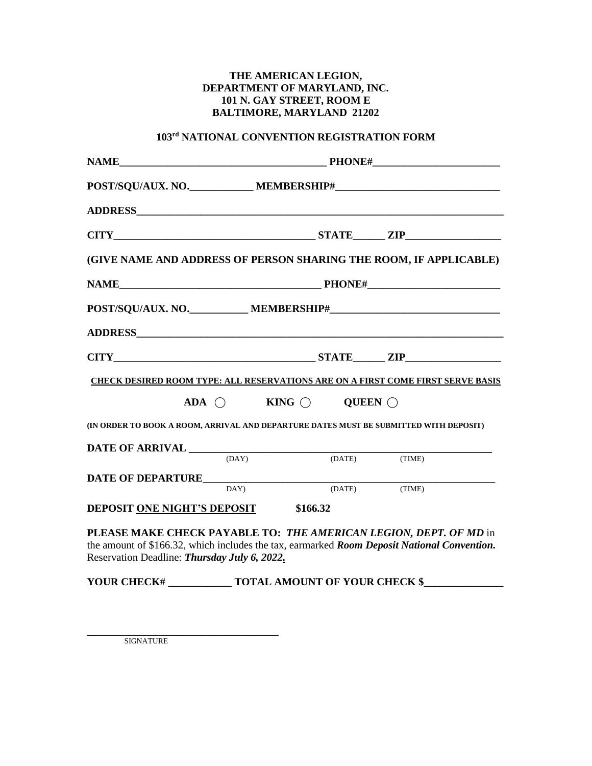### **THE AMERICAN LEGION, DEPARTMENT OF MARYLAND, INC. 101 N. GAY STREET, ROOM E BALTIMORE, MARYLAND 21202**

#### **103 rd NATIONAL CONVENTION REGISTRATION FORM**

| NAME PHONE#                                                                                                                                                                                                              |                                                 |                                      |               |  |
|--------------------------------------------------------------------------------------------------------------------------------------------------------------------------------------------------------------------------|-------------------------------------------------|--------------------------------------|---------------|--|
|                                                                                                                                                                                                                          |                                                 |                                      |               |  |
|                                                                                                                                                                                                                          |                                                 |                                      |               |  |
| $CITY$ $ZIP$                                                                                                                                                                                                             |                                                 |                                      |               |  |
| (GIVE NAME AND ADDRESS OF PERSON SHARING THE ROOM, IF APPLICABLE)                                                                                                                                                        |                                                 |                                      |               |  |
|                                                                                                                                                                                                                          |                                                 |                                      |               |  |
|                                                                                                                                                                                                                          |                                                 |                                      |               |  |
|                                                                                                                                                                                                                          |                                                 |                                      |               |  |
| CITY STATE ZIP                                                                                                                                                                                                           |                                                 |                                      |               |  |
| <b>CHECK DESIRED ROOM TYPE: ALL RESERVATIONS ARE ON A FIRST COME FIRST SERVE BASIS</b>                                                                                                                                   |                                                 |                                      |               |  |
|                                                                                                                                                                                                                          | ADA $\bigcirc$ KING $\bigcirc$ QUEEN $\bigcirc$ |                                      |               |  |
| (IN ORDER TO BOOK A ROOM, ARRIVAL AND DEPARTURE DATES MUST BE SUBMITTED WITH DEPOSIT)                                                                                                                                    |                                                 |                                      |               |  |
|                                                                                                                                                                                                                          |                                                 |                                      |               |  |
|                                                                                                                                                                                                                          |                                                 |                                      | (DATE) (TIME) |  |
| <b>DATE OF DEPARTURE</b> DAY) (DATE) (TIME)                                                                                                                                                                              |                                                 |                                      |               |  |
|                                                                                                                                                                                                                          |                                                 |                                      |               |  |
| <b>DEPOSIT ONE NIGHT'S DEPOSIT \$166.32</b>                                                                                                                                                                              |                                                 |                                      |               |  |
| PLEASE MAKE CHECK PAYABLE TO: THE AMERICAN LEGION, DEPT. OF MD in<br>the amount of \$166.32, which includes the tax, earmarked <i>Room Deposit National Convention</i> .<br>Reservation Deadline: Thursday July 6, 2022. |                                                 |                                      |               |  |
| YOUR CHECK#                                                                                                                                                                                                              |                                                 | <b>TOTAL AMOUNT OF YOUR CHECK \$</b> |               |  |

**\_\_\_\_\_\_\_\_\_\_\_\_\_\_\_\_\_\_\_\_\_\_\_\_\_\_\_\_\_\_\_\_\_\_\_\_** SIGNATURE